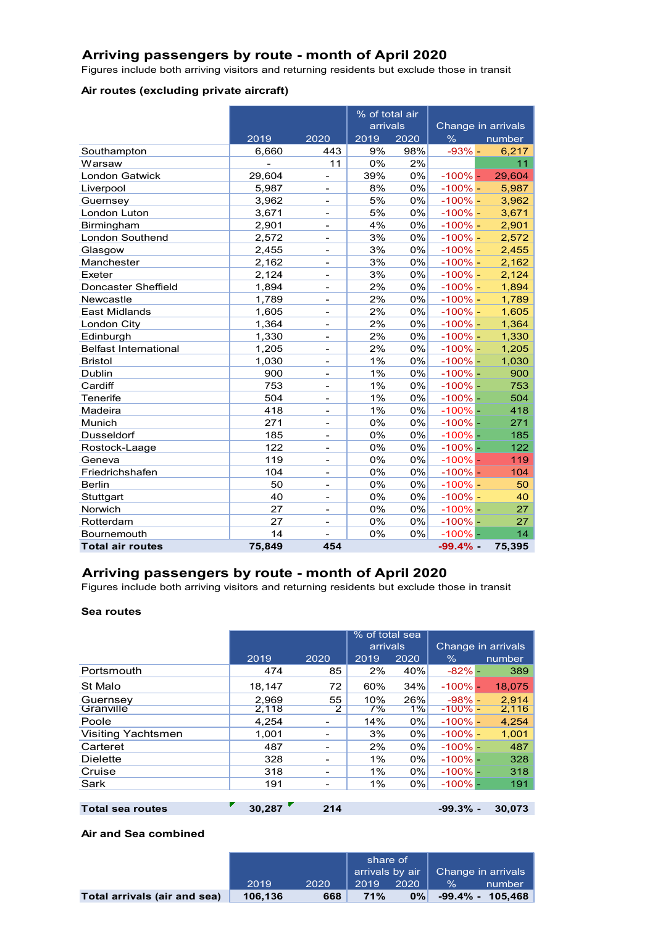## **Arriving passengers by route - month of April 2020**

Figures include both arriving visitors and returning residents but exclude those in transit

### **Air routes (excluding private aircraft)**

|                              |        |                          | % of total air |      |            |                    |  |
|------------------------------|--------|--------------------------|----------------|------|------------|--------------------|--|
|                              |        |                          | arrivals       |      |            | Change in arrivals |  |
|                              | 2019   | 2020                     | 2019           | 2020 | $\%$       | number             |  |
| Southampton                  | 6,660  | 443                      | 9%             | 98%  | $-93% -$   | 6,217              |  |
| Warsaw                       |        | 11                       | 0%             | 2%   |            | 11                 |  |
| <b>London Gatwick</b>        | 29,604 |                          | 39%            | 0%   | $-100\%$ - | 29,604             |  |
| Liverpool                    | 5,987  |                          | 8%             | 0%   | $-100%$ -  | 5,987              |  |
| Guernsey                     | 3,962  | -                        | 5%             | 0%   | $-100%$ -  | 3,962              |  |
| London Luton                 | 3,671  | -                        | 5%             | 0%   | $-100\%$ - | 3,671              |  |
| Birmingham                   | 2,901  | -                        | 4%             | 0%   | $-100\%$ - | 2,901              |  |
| London Southend              | 2,572  | -                        | 3%             | 0%   | $-100\%$ - | 2,572              |  |
| Glasgow                      | 2,455  | ۰                        | 3%             | 0%   | $-100\%$ - | 2,455              |  |
| Manchester                   | 2,162  | ۳                        | 3%             | 0%   | $-100\%$ - | 2,162              |  |
| Exeter                       | 2,124  | -                        | 3%             | 0%   | $-100\%$ - | 2,124              |  |
| Doncaster Sheffield          | 1,894  | $\overline{\phantom{a}}$ | 2%             | 0%   | $-100\%$ - | 1,894              |  |
| Newcastle                    | 1,789  | $\overline{\phantom{a}}$ | 2%             | 0%   | $-100\%$ - | 1,789              |  |
| <b>East Midlands</b>         | 1,605  | $\overline{\phantom{a}}$ | 2%             | 0%   | $-100\%$ – | 1,605              |  |
| London City                  | 1,364  | -                        | 2%             | 0%   | $-100\%$ - | 1,364              |  |
| Edinburgh                    | 1,330  | -                        | 2%             | 0%   | $-100%$ -  | 1,330              |  |
| <b>Belfast International</b> | 1,205  |                          | 2%             | 0%   | $-100%$ -  | 1,205              |  |
| <b>Bristol</b>               | 1,030  |                          | 1%             | 0%   | $-100%$ -  | 1,030              |  |
| <b>Dublin</b>                | 900    | $\overline{a}$           | 1%             | 0%   | $-100%$ -  | 900                |  |
| Cardiff                      | 753    |                          | 1%             | 0%   | $-100%$ -  | 753                |  |
| Tenerife                     | 504    | -                        | 1%             | 0%   | $-100%$ -  | 504                |  |
| Madeira                      | 418    | $\blacksquare$           | 1%             | 0%   | $-100%$ -  | 418                |  |
| Munich                       | 271    | -                        | 0%             | 0%   | $-100%$ -  | 271                |  |
| <b>Dusseldorf</b>            | 185    |                          | 0%             | 0%   | $-100%$ -  | 185                |  |
| Rostock-Laage                | 122    | ۰                        | 0%             | 0%   | $-100%$ -  | 122                |  |
| Geneva                       | 119    | -                        | 0%             | 0%   | $-100%$ -  | 119                |  |
| Friedrichshafen              | 104    | -                        | 0%             | 0%   | $-100%$ -  | 104                |  |
| <b>Berlin</b>                | 50     | $\overline{\phantom{a}}$ | 0%             | 0%   | $-100\%$ - | 50                 |  |
| Stuttgart                    | 40     | $\overline{\phantom{a}}$ | 0%             | 0%   | $-100\%$ - | 40                 |  |
| Norwich                      | 27     | -                        | 0%             | 0%   | $-100%$ -  | 27                 |  |
| Rotterdam                    | 27     | -                        | 0%             | 0%   | $-100\%$ - | 27                 |  |
| Bournemouth                  | 14     | $\overline{\phantom{0}}$ | 0%             | 0%   | $-100%$ -  | 14                 |  |
| <b>Total air routes</b>      | 75,849 | 454                      |                |      | $-99.4%$ - | 75,395             |  |

## **Arriving passengers by route - month of April 2020**

Figures include both arriving visitors and returning residents but exclude those in transit

#### **Sea routes**

|                           |        |                | % of total sea |       |                    |  |        |
|---------------------------|--------|----------------|----------------|-------|--------------------|--|--------|
|                           |        |                | arrivals       |       | Change in arrivals |  |        |
|                           | 2019   | 2020           | 2019           | 2020  | $\%$               |  | number |
| Portsmouth                | 474    | 85             | 2%             | 40%   | $-82% -$           |  | 389    |
| St Malo                   | 18,147 | 72             | 60%            | 34%   | $-100\%$ -         |  | 18.075 |
| Guernsey                  | 2.969  | 55             | 10%            | 26%   | $-98% -$           |  | 2.914  |
| Granville                 | 2,118  | $\overline{2}$ | 7%             | 1%    | $-100\%$ -         |  | 2,116  |
| Poole                     | 4,254  |                | 14%            | 0%    | $-100\%$ -         |  | 4,254  |
| <b>Visiting Yachtsmen</b> | 1,001  |                | 3%             | $0\%$ | $-100\%$ -         |  | 1,001  |
| Carteret                  | 487    |                | 2%             | 0%    | $-100\%$ –         |  | 487    |
| <b>Dielette</b>           | 328    |                | 1%             | $0\%$ | $-100\%$ -         |  | 328    |
| Cruise                    | 318    |                | 1%             | 0%    | $-100\%$ -         |  | 318    |
| Sark                      | 191    |                | 1%             | $0\%$ | $-100\%$ -         |  | 191    |
|                           |        |                |                |       |                    |  |        |
| <b>Total sea routes</b>   | 30.287 | 214            |                |       | $-99.3%$ -         |  | 30.073 |

#### **Air and Sea combined**

|                              |         |      | share of |      |                                                |                     |
|------------------------------|---------|------|----------|------|------------------------------------------------|---------------------|
|                              |         |      |          |      | arrivals by air $\parallel$ Change in arrivals |                     |
|                              | 2019    | 2020 | 2019     | 2020 | $\frac{0}{0}$                                  | number              |
| Total arrivals (air and sea) | 106.136 | 668  | 71%      | 0%   |                                                | $-99.4\% - 105.468$ |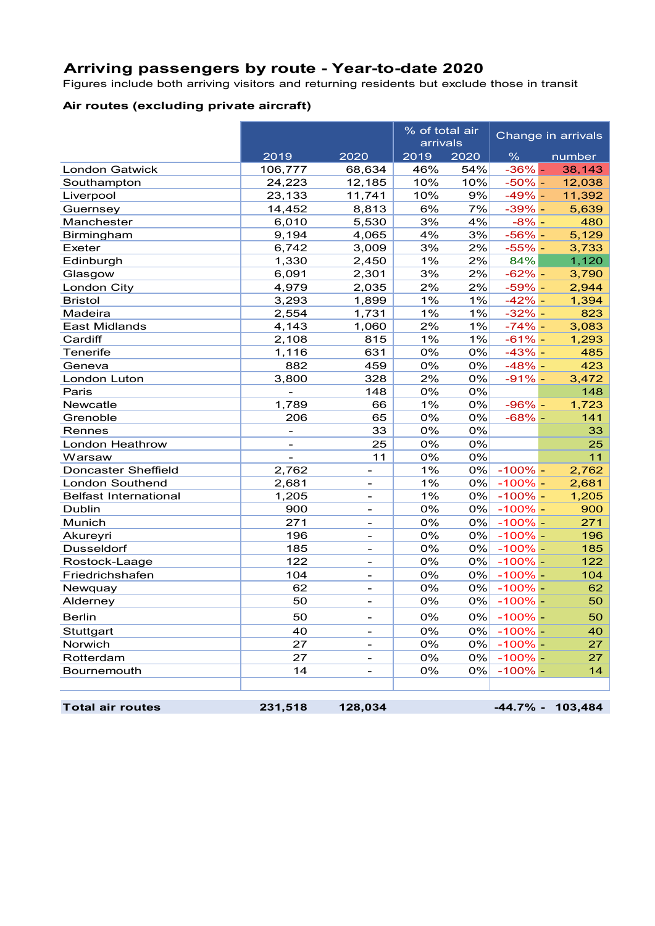# **Arriving passengers by route - Year-to-date 2020**

Figures include both arriving visitors and returning residents but exclude those in transit

## **Air routes (excluding private aircraft)**

|                              |          |                              | % of total air<br>arrivals |      |               | Change in arrivals  |
|------------------------------|----------|------------------------------|----------------------------|------|---------------|---------------------|
|                              | 2019     | 2020                         | 2019                       | 2020 | $\frac{0}{6}$ | number              |
| <b>London Gatwick</b>        | 106,777  | 68,634                       | 46%                        | 54%  | $-36% -$      | 38,143              |
| Southampton                  | 24,223   | 12,185                       | 10%                        | 10%  | $-50% -$      | 12,038              |
| Liverpool                    | 23,133   | 11,741                       | 10%                        | 9%   | $-49% -$      | 11,392              |
| Guernsey                     | 14,452   | 8,813                        | 6%                         | 7%   | $-39% -$      | 5,639               |
| Manchester                   | 6,010    | 5,530                        | 3%                         | 4%   | $-8% -$       | 480                 |
| Birmingham                   | 9,194    | 4,065                        | 4%                         | 3%   | $-56% -$      | 5,129               |
| Exeter                       | 6,742    | 3,009                        | 3%                         | 2%   | $-55% -$      | 3,733               |
| Edinburgh                    | 1,330    | 2,450                        | 1%                         | 2%   | 84%           | 1,120               |
| Glasgow                      | 6,091    | 2,301                        | 3%                         | 2%   | $-62%$        | 3,790               |
| London City                  | 4,979    | 2,035                        | 2%                         | 2%   | $-59%$ -      | 2,944               |
| <b>Bristol</b>               | 3,293    | 1,899                        | 1%                         | 1%   | $-42% -$      | 1,394               |
| Madeira                      | 2,554    | 1,731                        | 1%                         | 1%   | $-32%$ -      | 823                 |
| <b>East Midlands</b>         | 4,143    | 1,060                        | 2%                         | 1%   | $-74%$ -      | 3,083               |
| Cardiff                      | 2,108    | 815                          | 1%                         | 1%   | $-61% -$      | 1,293               |
| <b>Tenerife</b>              | 1,116    | 631                          | 0%                         | 0%   | $-43%$ -      | 485                 |
| Geneva                       | 882      | 459                          | 0%                         | 0%   | $-48%$ –      | 423                 |
| London Luton                 | 3,800    | 328                          | 2%                         | 0%   | $-91% -$      | 3,472               |
| Paris                        |          | 148                          | 0%                         | 0%   |               | 148                 |
| Newcatle                     | 1,789    | 66                           | 1%                         | 0%   | $-96% -$      | 1,723               |
| Grenoble                     | 206      | 65                           | 0%                         | 0%   | $-68%$ -      | 141                 |
| Rennes                       | $\equiv$ | 33                           | 0%                         | 0%   |               | 33                  |
| London Heathrow              |          | 25                           | 0%                         | 0%   |               | 25                  |
| Warsaw                       |          | 11                           | 0%                         | 0%   |               | 11                  |
| <b>Doncaster Sheffield</b>   | 2,762    |                              | 1%                         | 0%   | $-100\%$ –    | 2,762               |
| <b>London Southend</b>       | 2,681    |                              | 1%                         | 0%   | $-100\%$ -    | 2,681               |
| <b>Belfast International</b> | 1,205    | $\frac{1}{2}$                | 1%                         | 0%   | $-100\%$ -    | 1,205               |
| Dublin                       | 900      | $\overline{\phantom{0}}$     | 0%                         | 0%   | $-100\%$ -    | 900                 |
| Munich                       | 271      | $\overline{\phantom{0}}$     | 0%                         |      | $0\%$ -100% - | 271                 |
| Akureyri                     | 196      | $\overline{\phantom{0}}$     | 0%                         |      | $0\%$ -100% - | 196                 |
| Dusseldorf                   | 185      | $\qquad \qquad -$            | 0%                         |      | $0\%$ -100% - | 185                 |
| Rostock-Laage                | 122      | $\qquad \qquad -$            | 0%                         |      | $0\%$ -100% - | 122                 |
| Friedrichshafen              | 104      | $\overline{\phantom{0}}$     | 0%                         |      | $0\%$ -100% - | 104                 |
| Newquay                      | 62       | $\qquad \qquad \blacksquare$ | 0%                         |      | $0\%$ -100% - | 62                  |
| Alderney                     | 50       | $\overline{\phantom{0}}$     | 0%                         |      | $0\%$ -100% - | 50                  |
| <b>Berlin</b>                | 50       | -                            | 0%                         |      | $0\%$ -100% - | 50                  |
| Stuttgart                    | 40       | $\overline{\phantom{0}}$     | 0%                         | 0%   | $-100\%$ –    | 40                  |
| Norwich                      | 27       | $\overline{\phantom{0}}$     | 0%                         | 0%   | $-100%$ –     | 27                  |
| Rotterdam                    | 27       | $\overline{\phantom{0}}$     | 0%                         | 0%   | $-100%$ –     | 27                  |
| Bournemouth                  | 14       | $\overline{\phantom{0}}$     | 0%                         | 0%   | $-100\%$ -    | 14                  |
|                              |          |                              |                            |      |               |                     |
| <b>Total air routes</b>      | 231,518  | 128,034                      |                            |      |               | $-44.7\% - 103,484$ |